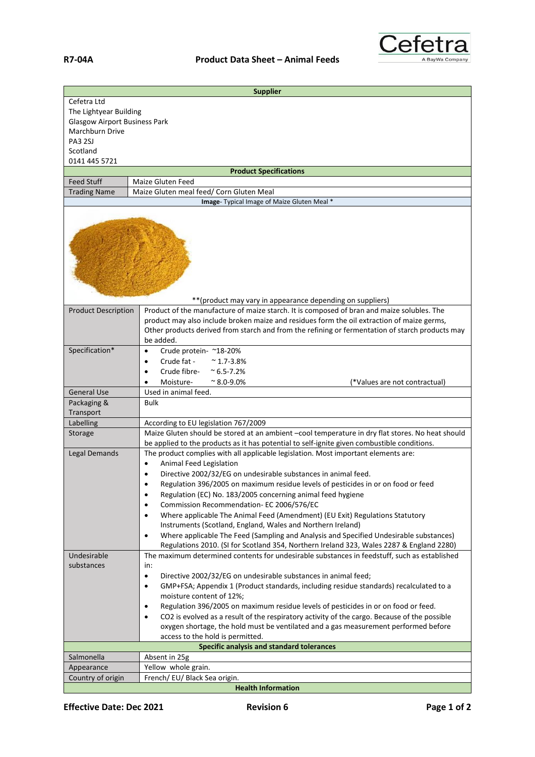

| <b>Supplier</b>                                                                                                                          |                                                                                                                                                                                                                                                        |  |
|------------------------------------------------------------------------------------------------------------------------------------------|--------------------------------------------------------------------------------------------------------------------------------------------------------------------------------------------------------------------------------------------------------|--|
| Cefetra Ltd<br>The Lightyear Building<br><b>Glasgow Airport Business Park</b><br>Marchburn Drive<br>PA3 2SJ<br>Scotland<br>0141 445 5721 |                                                                                                                                                                                                                                                        |  |
|                                                                                                                                          | <b>Product Specifications</b>                                                                                                                                                                                                                          |  |
| <b>Feed Stuff</b>                                                                                                                        | <b>Maize Gluten Feed</b>                                                                                                                                                                                                                               |  |
| <b>Trading Name</b>                                                                                                                      | Maize Gluten meal feed/ Corn Gluten Meal<br>Image- Typical Image of Maize Gluten Meal *                                                                                                                                                                |  |
|                                                                                                                                          |                                                                                                                                                                                                                                                        |  |
| <b>Product Description</b>                                                                                                               | ** (product may vary in appearance depending on suppliers)<br>Product of the manufacture of maize starch. It is composed of bran and maize solubles. The<br>product may also include broken maize and residues form the oil extraction of maize germs, |  |
|                                                                                                                                          | Other products derived from starch and from the refining or fermentation of starch products may<br>be added.                                                                                                                                           |  |
| Specification*                                                                                                                           | Crude protein- ~18-20%<br>$\bullet$                                                                                                                                                                                                                    |  |
|                                                                                                                                          | Crude fat -<br>$~^{\sim}$ 1.7-3.8%<br>$\bullet$                                                                                                                                                                                                        |  |
|                                                                                                                                          | Crude fibre-<br>$^{\sim}$ 6.5-7.2%<br>$\bullet$<br>Moisture-<br>$\approx 8.0 - 9.0\%$<br>(*Values are not contractual)<br>$\bullet$                                                                                                                    |  |
| <b>General Use</b>                                                                                                                       | Used in animal feed.                                                                                                                                                                                                                                   |  |
| Packaging &                                                                                                                              | <b>Bulk</b>                                                                                                                                                                                                                                            |  |
| Transport                                                                                                                                |                                                                                                                                                                                                                                                        |  |
| Labelling                                                                                                                                | According to EU legislation 767/2009                                                                                                                                                                                                                   |  |
| Storage                                                                                                                                  | Maize Gluten should be stored at an ambient -cool temperature in dry flat stores. No heat should<br>be applied to the products as it has potential to self-ignite given combustible conditions.                                                        |  |
| Legal Demands                                                                                                                            | The product complies with all applicable legislation. Most important elements are:                                                                                                                                                                     |  |
|                                                                                                                                          | Animal Feed Legislation<br>Directive 2002/32/EG on undesirable substances in animal feed.                                                                                                                                                              |  |
|                                                                                                                                          | Regulation 396/2005 on maximum residue levels of pesticides in or on food or feed                                                                                                                                                                      |  |
|                                                                                                                                          | Regulation (EC) No. 183/2005 concerning animal feed hygiene<br>$\bullet$                                                                                                                                                                               |  |
|                                                                                                                                          | Commission Recommendation- EC 2006/576/EC<br>$\bullet$                                                                                                                                                                                                 |  |
|                                                                                                                                          | Where applicable The Animal Feed (Amendment) (EU Exit) Regulations Statutory<br>$\bullet$                                                                                                                                                              |  |
|                                                                                                                                          | Instruments (Scotland, England, Wales and Northern Ireland)                                                                                                                                                                                            |  |
|                                                                                                                                          | Where applicable The Feed (Sampling and Analysis and Specified Undesirable substances)<br>$\bullet$<br>Regulations 2010. (SI for Scotland 354, Northern Ireland 323, Wales 2287 & England 2280)                                                        |  |
| Undesirable                                                                                                                              | The maximum determined contents for undesirable substances in feedstuff, such as established                                                                                                                                                           |  |
| substances                                                                                                                               | in:                                                                                                                                                                                                                                                    |  |
|                                                                                                                                          | Directive 2002/32/EG on undesirable substances in animal feed;<br>$\bullet$                                                                                                                                                                            |  |
|                                                                                                                                          | GMP+FSA; Appendix 1 (Product standards, including residue standards) recalculated to a<br>$\bullet$<br>moisture content of 12%;                                                                                                                        |  |
|                                                                                                                                          | Regulation 396/2005 on maximum residue levels of pesticides in or on food or feed.<br>$\bullet$                                                                                                                                                        |  |
|                                                                                                                                          | CO2 is evolved as a result of the respiratory activity of the cargo. Because of the possible<br>$\bullet$                                                                                                                                              |  |
|                                                                                                                                          | oxygen shortage, the hold must be ventilated and a gas measurement performed before<br>access to the hold is permitted.                                                                                                                                |  |
| Specific analysis and standard tolerances                                                                                                |                                                                                                                                                                                                                                                        |  |
| Salmonella                                                                                                                               | Absent in 25g                                                                                                                                                                                                                                          |  |
| Appearance                                                                                                                               | Yellow whole grain.                                                                                                                                                                                                                                    |  |
| Country of origin                                                                                                                        | French/ EU/ Black Sea origin.                                                                                                                                                                                                                          |  |
|                                                                                                                                          | <b>Health Information</b>                                                                                                                                                                                                                              |  |